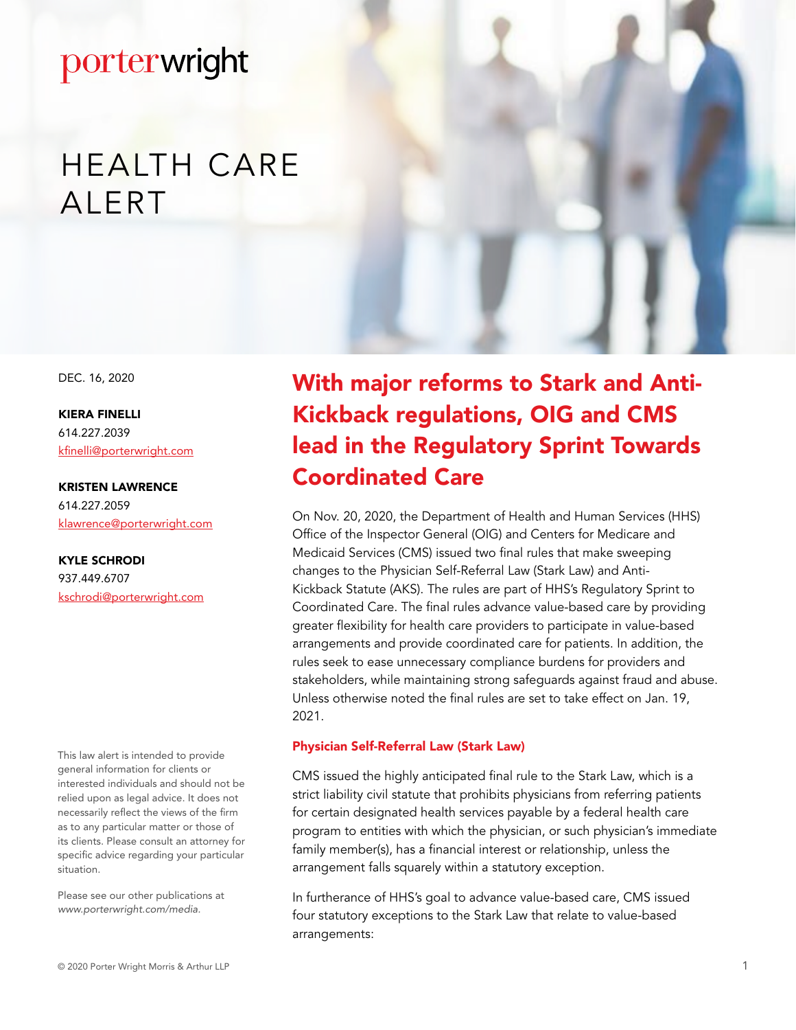# HEALTH CARE **ALERT**

DEC. 16, 2020

KIERA FINELLI 614.227.2039 kfinelli@porterwright.com

KRISTEN LAWRENCE 614.227.2059 klawrence@porterwright.com

KYLE SCHRODI 937.449.6707 kschrodi@porterwright.com

This law alert is intended to provide general information for clients or interested individuals and should not be relied upon as legal advice. It does not necessarily reflect the views of the firm as to any particular matter or those of its clients. Please consult an attorney for specific advice regarding your particular situation.

Please see our other publications at *www.porterwright.com/media.*

With major reforms to Stark and Anti-Kickback regulations, OIG and CMS lead in the Regulatory Sprint Towards Coordinated Care

On Nov. 20, 2020, the Department of Health and Human Services (HHS) Office of the Inspector General (OIG) and Centers for Medicare and Medicaid Services (CMS) issued two final rules that make sweeping changes to the Physician Self-Referral Law (Stark Law) and Anti-Kickback Statute (AKS). The rules are part of HHS's Regulatory Sprint to Coordinated Care. The final rules advance value-based care by providing greater flexibility for health care providers to participate in value-based arrangements and provide coordinated care for patients. In addition, the rules seek to ease unnecessary compliance burdens for providers and stakeholders, while maintaining strong safeguards against fraud and abuse. Unless otherwise noted the final rules are set to take effect on Jan. 19, 2021.

#### Physician Self-Referral Law (Stark Law)

CMS issued the highly anticipated final rule to the Stark Law, which is a strict liability civil statute that prohibits physicians from referring patients for certain designated health services payable by a federal health care program to entities with which the physician, or such physician's immediate family member(s), has a financial interest or relationship, unless the arrangement falls squarely within a statutory exception.

In furtherance of HHS's goal to advance value-based care, CMS issued four statutory exceptions to the Stark Law that relate to value-based arrangements: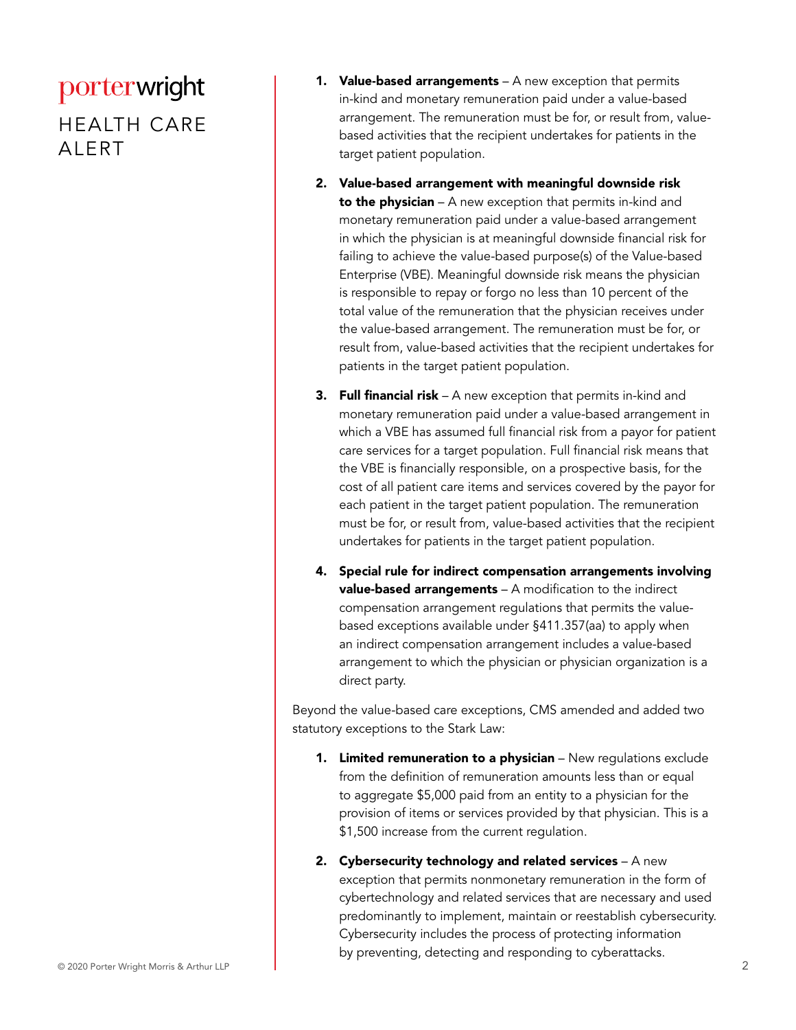HEALTH CARE ALERT

- **1. Value-based arrangements**  $-$  A new exception that permits in-kind and monetary remuneration paid under a value-based arrangement. The remuneration must be for, or result from, valuebased activities that the recipient undertakes for patients in the target patient population.
- 2. Value-based arrangement with meaningful downside risk to the physician  $- A$  new exception that permits in-kind and monetary remuneration paid under a value-based arrangement in which the physician is at meaningful downside financial risk for failing to achieve the value-based purpose(s) of the Value-based Enterprise (VBE). Meaningful downside risk means the physician is responsible to repay or forgo no less than 10 percent of the total value of the remuneration that the physician receives under the value-based arrangement. The remuneration must be for, or result from, value-based activities that the recipient undertakes for patients in the target patient population.
- **3.** Full financial risk  $A$  new exception that permits in-kind and monetary remuneration paid under a value-based arrangement in which a VBE has assumed full financial risk from a payor for patient care services for a target population. Full financial risk means that the VBE is financially responsible, on a prospective basis, for the cost of all patient care items and services covered by the payor for each patient in the target patient population. The remuneration must be for, or result from, value-based activities that the recipient undertakes for patients in the target patient population.
- 4. Special rule for indirect compensation arrangements involving value-based arrangements – A modification to the indirect compensation arrangement regulations that permits the valuebased exceptions available under §411.357(aa) to apply when an indirect compensation arrangement includes a value-based arrangement to which the physician or physician organization is a direct party.

Beyond the value-based care exceptions, CMS amended and added two statutory exceptions to the Stark Law:

- 1. Limited remuneration to a physician New regulations exclude from the definition of remuneration amounts less than or equal to aggregate \$5,000 paid from an entity to a physician for the provision of items or services provided by that physician. This is a \$1,500 increase from the current regulation.
- 2. Cybersecurity technology and related services  $A$  new exception that permits nonmonetary remuneration in the form of cybertechnology and related services that are necessary and used predominantly to implement, maintain or reestablish cybersecurity. Cybersecurity includes the process of protecting information by preventing, detecting and responding to cyberattacks.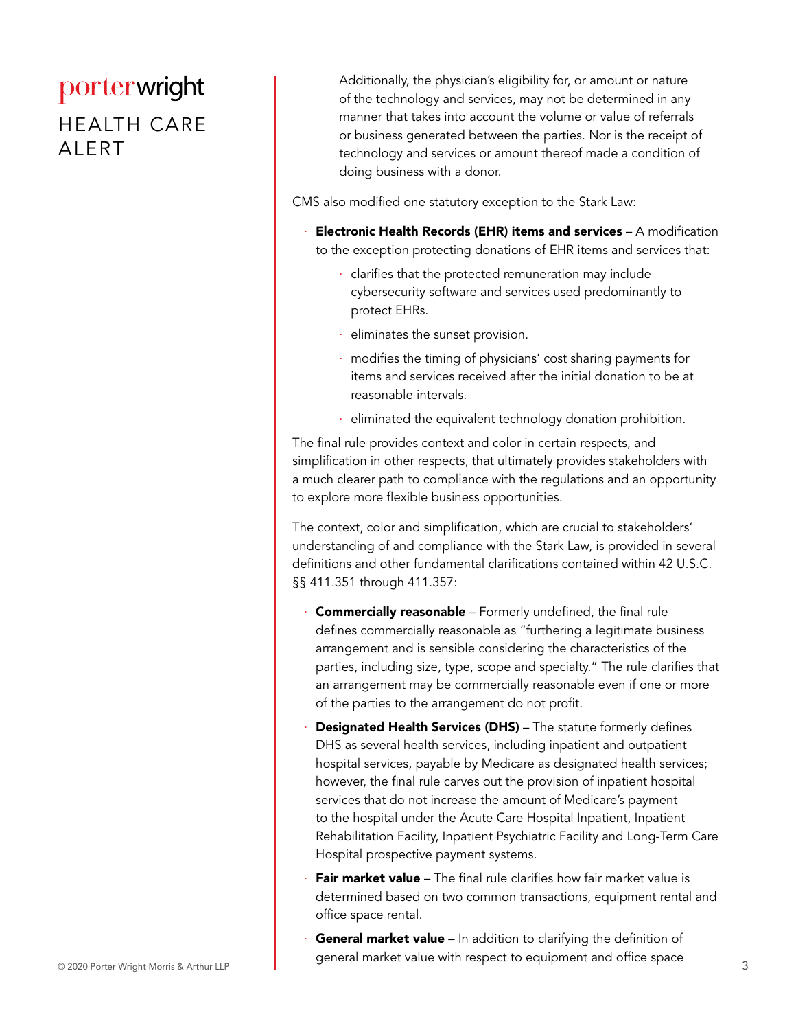#### HEALTH CARE ALERT

Additionally, the physician's eligibility for, or amount or nature of the technology and services, may not be determined in any manner that takes into account the volume or value of referrals or business generated between the parties. Nor is the receipt of technology and services or amount thereof made a condition of doing business with a donor.

CMS also modified one statutory exception to the Stark Law:

- **Electronic Health Records (EHR) items and services**  $A$  modification to the exception protecting donations of EHR items and services that:
	- · clarifies that the protected remuneration may include cybersecurity software and services used predominantly to protect EHRs.
	- · eliminates the sunset provision.
	- modifies the timing of physicians' cost sharing payments for items and services received after the initial donation to be at reasonable intervals.
	- · eliminated the equivalent technology donation prohibition.

The final rule provides context and color in certain respects, and simplification in other respects, that ultimately provides stakeholders with a much clearer path to compliance with the regulations and an opportunity to explore more flexible business opportunities.

The context, color and simplification, which are crucial to stakeholders' understanding of and compliance with the Stark Law, is provided in several definitions and other fundamental clarifications contained within 42 U.S.C. §§ 411.351 through 411.357:

- **Commercially reasonable** Formerly undefined, the final rule defines commercially reasonable as "furthering a legitimate business arrangement and is sensible considering the characteristics of the parties, including size, type, scope and specialty." The rule clarifies that an arrangement may be commercially reasonable even if one or more of the parties to the arrangement do not profit.
- Designated Health Services (DHS) The statute formerly defines DHS as several health services, including inpatient and outpatient hospital services, payable by Medicare as designated health services; however, the final rule carves out the provision of inpatient hospital services that do not increase the amount of Medicare's payment to the hospital under the Acute Care Hospital Inpatient, Inpatient Rehabilitation Facility, Inpatient Psychiatric Facility and Long-Term Care Hospital prospective payment systems.
- **Fair market value** The final rule clarifies how fair market value is determined based on two common transactions, equipment rental and office space rental.
- © 2020 Porter Wright Morris & Arthur LLP 3 General market value - In addition to clarifying the definition of general market value with respect to equipment and office space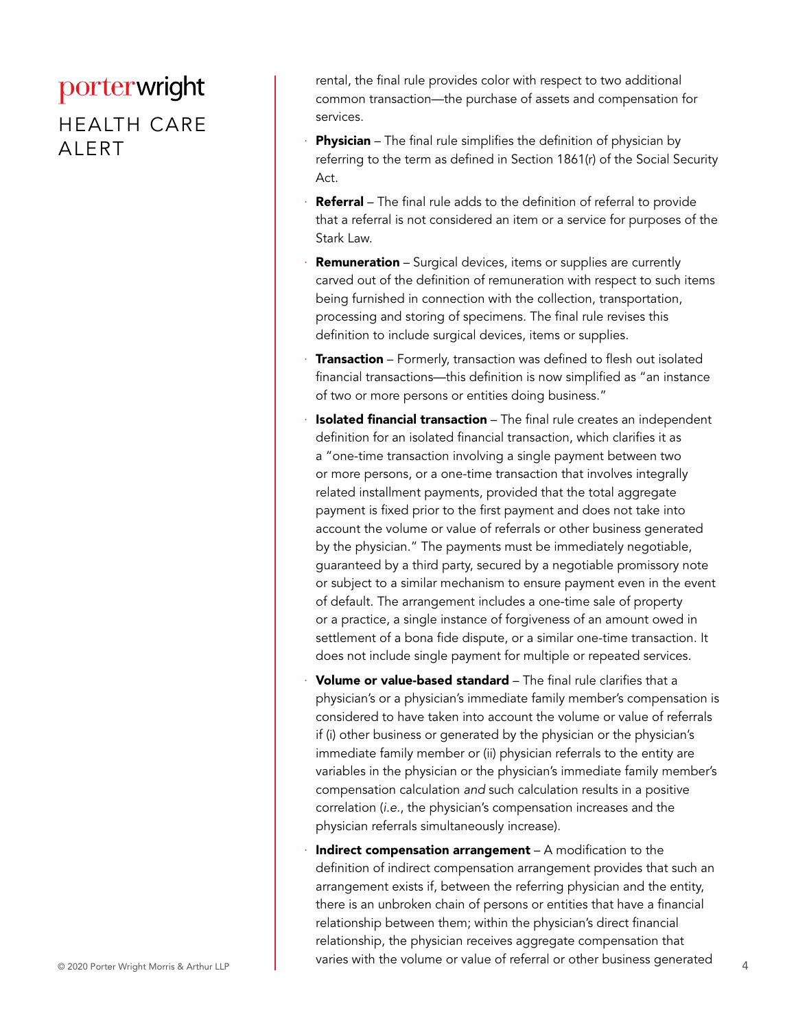#### HEALTH CARE ALERT

rental, the final rule provides color with respect to two additional common transaction—the purchase of assets and compensation for services.

- **Physician** The final rule simplifies the definition of physician by referring to the term as defined in Section 1861(r) of the Social Security Act.
- Referral The final rule adds to the definition of referral to provide that a referral is not considered an item or a service for purposes of the Stark Law.
- Remuneration Surgical devices, items or supplies are currently carved out of the definition of remuneration with respect to such items being furnished in connection with the collection, transportation, processing and storing of specimens. The final rule revises this definition to include surgical devices, items or supplies.
- **Transaction** Formerly, transaction was defined to flesh out isolated financial transactions—this definition is now simplified as "an instance of two or more persons or entities doing business."
- **Isolated financial transaction** The final rule creates an independent definition for an isolated financial transaction, which clarifies it as a "one-time transaction involving a single payment between two or more persons, or a one-time transaction that involves integrally related installment payments, provided that the total aggregate payment is fixed prior to the first payment and does not take into account the volume or value of referrals or other business generated by the physician." The payments must be immediately negotiable, guaranteed by a third party, secured by a negotiable promissory note or subject to a similar mechanism to ensure payment even in the event of default. The arrangement includes a one-time sale of property or a practice, a single instance of forgiveness of an amount owed in settlement of a bona fide dispute, or a similar one-time transaction. It does not include single payment for multiple or repeated services.
- Volume or value-based standard The final rule clarifies that a physician's or a physician's immediate family member's compensation is considered to have taken into account the volume or value of referrals if (i) other business or generated by the physician or the physician's immediate family member or (ii) physician referrals to the entity are variables in the physician or the physician's immediate family member's compensation calculation *and* such calculation results in a positive correlation (*i.e.*, the physician's compensation increases and the physician referrals simultaneously increase).
- © 2020 Porter Wright Morris & Arthur LLP **4** varies with the volume or value of referral or other business generated Indirect compensation arrangement  $-$  A modification to the definition of indirect compensation arrangement provides that such an arrangement exists if, between the referring physician and the entity, there is an unbroken chain of persons or entities that have a financial relationship between them; within the physician's direct financial relationship, the physician receives aggregate compensation that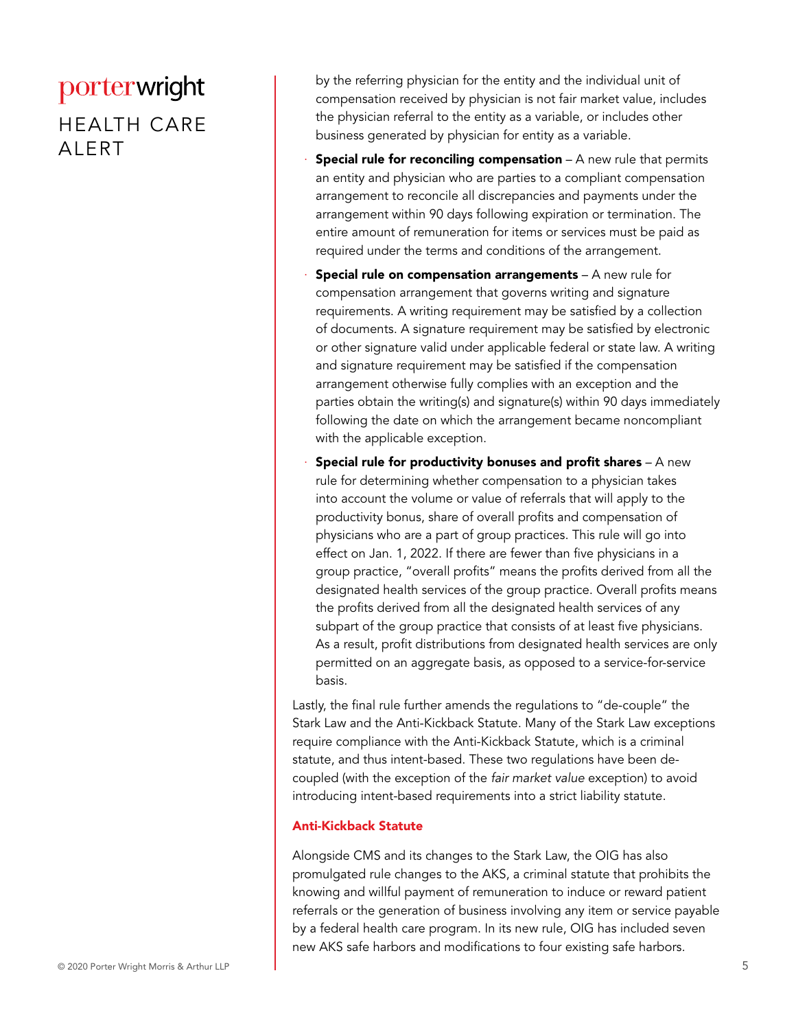#### HEALTH CARE ALERT

by the referring physician for the entity and the individual unit of compensation received by physician is not fair market value, includes the physician referral to the entity as a variable, or includes other business generated by physician for entity as a variable.

- **Special rule for reconciling compensation**  $A$  new rule that permits an entity and physician who are parties to a compliant compensation arrangement to reconcile all discrepancies and payments under the arrangement within 90 days following expiration or termination. The entire amount of remuneration for items or services must be paid as required under the terms and conditions of the arrangement.
- **Special rule on compensation arrangements**  $-$  A new rule for compensation arrangement that governs writing and signature requirements. A writing requirement may be satisfied by a collection of documents. A signature requirement may be satisfied by electronic or other signature valid under applicable federal or state law. A writing and signature requirement may be satisfied if the compensation arrangement otherwise fully complies with an exception and the parties obtain the writing(s) and signature(s) within 90 days immediately following the date on which the arrangement became noncompliant with the applicable exception.
- **Special rule for productivity bonuses and profit shares**  $A$  new rule for determining whether compensation to a physician takes into account the volume or value of referrals that will apply to the productivity bonus, share of overall profits and compensation of physicians who are a part of group practices. This rule will go into effect on Jan. 1, 2022. If there are fewer than five physicians in a group practice, "overall profits" means the profits derived from all the designated health services of the group practice. Overall profits means the profits derived from all the designated health services of any subpart of the group practice that consists of at least five physicians. As a result, profit distributions from designated health services are only permitted on an aggregate basis, as opposed to a service-for-service basis.

Lastly, the final rule further amends the regulations to "de-couple" the Stark Law and the Anti-Kickback Statute. Many of the Stark Law exceptions require compliance with the Anti-Kickback Statute, which is a criminal statute, and thus intent-based. These two regulations have been decoupled (with the exception of the *fair market value* exception) to avoid introducing intent-based requirements into a strict liability statute.

#### Anti-Kickback Statute

Alongside CMS and its changes to the Stark Law, the OIG has also promulgated rule changes to the AKS, a criminal statute that prohibits the knowing and willful payment of remuneration to induce or reward patient referrals or the generation of business involving any item or service payable by a federal health care program. In its new rule, OIG has included seven new AKS safe harbors and modifications to four existing safe harbors.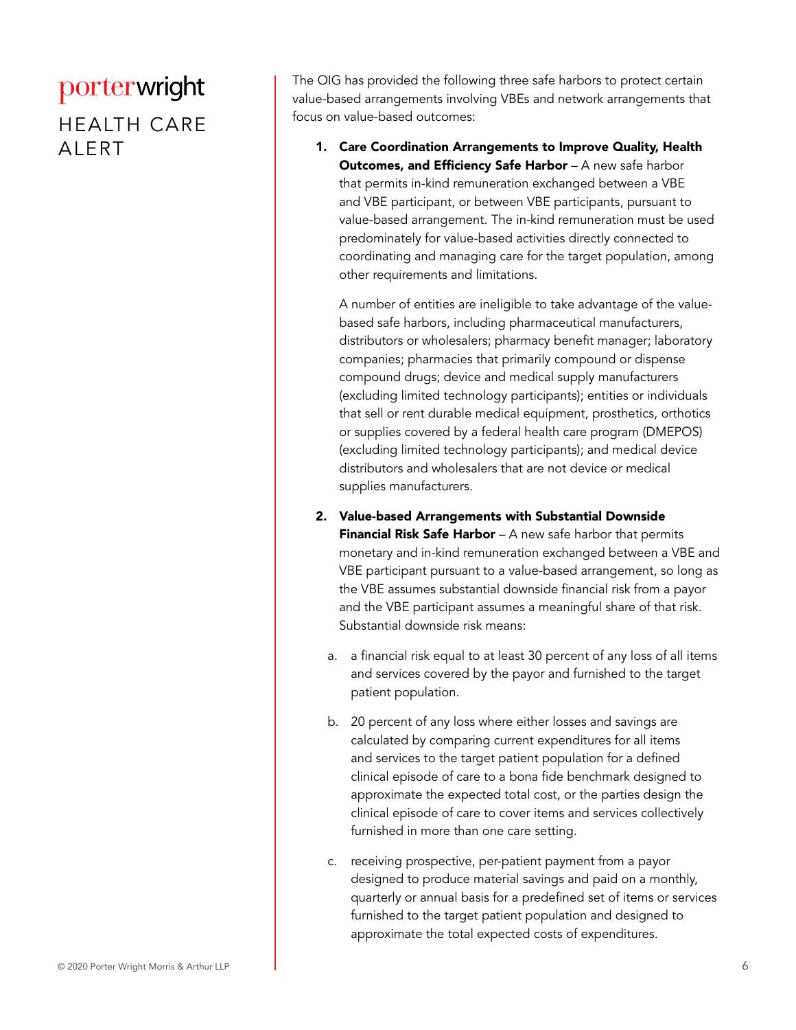HEALTH CARE ALERT

The OIG has provided the following three safe harbors to protect certain value-based arrangements involving VBEs and network arrangements that focus on value-based outcomes:

1. Care Coordination Arrangements to Improve Quality, Health Outcomes, and Efficiency Safe Harbor - A new safe harbor that permits in-kind remuneration exchanged between a VBE and VBE participant, or between VBE participants, pursuant to value-based arrangement. The in-kind remuneration must be used predominately for value-based activities directly connected to coordinating and managing care for the target population, among other requirements and limitations.

A number of entities are ineligible to take advantage of the valuebased safe harbors, including pharmaceutical manufacturers, distributors or wholesalers; pharmacy benefit manager; laboratory companies; pharmacies that primarily compound or dispense compound drugs; device and medical supply manufacturers (excluding limited technology participants); entities or individuals that sell or rent durable medical equipment, prosthetics, orthotics or supplies covered by a federal health care program (DMEPOS) (excluding limited technology participants); and medical device distributors and wholesalers that are not device or medical supplies manufacturers.

- 2. Value-based Arrangements with Substantial Downside **Financial Risk Safe Harbor** – A new safe harbor that permits monetary and in-kind remuneration exchanged between a VBE and VBE participant pursuant to a value-based arrangement, so long as the VBE assumes substantial downside financial risk from a payor and the VBE participant assumes a meaningful share of that risk. Substantial downside risk means:
	- a. a financial risk equal to at least 30 percent of any loss of all items and services covered by the payor and furnished to the target patient population.
	- b. 20 percent of any loss where either losses and savings are calculated by comparing current expenditures for all items and services to the target patient population for a defined clinical episode of care to a bona fide benchmark designed to approximate the expected total cost, or the parties design the clinical episode of care to cover items and services collectively furnished in more than one care setting.
	- c. receiving prospective, per-patient payment from a payor designed to produce material savings and paid on a monthly, quarterly or annual basis for a predefined set of items or services furnished to the target patient population and designed to approximate the total expected costs of expenditures.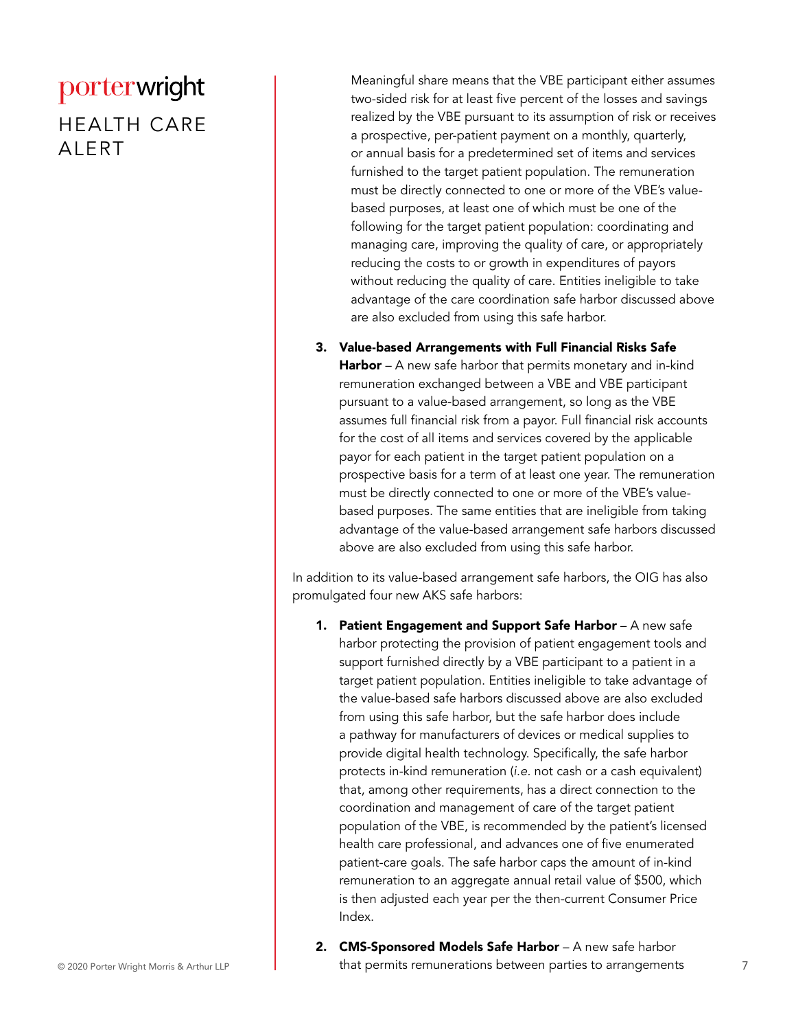#### HEALTH CARE ALERT

Meaningful share means that the VBE participant either assumes two-sided risk for at least five percent of the losses and savings realized by the VBE pursuant to its assumption of risk or receives a prospective, per-patient payment on a monthly, quarterly, or annual basis for a predetermined set of items and services furnished to the target patient population. The remuneration must be directly connected to one or more of the VBE's valuebased purposes, at least one of which must be one of the following for the target patient population: coordinating and managing care, improving the quality of care, or appropriately reducing the costs to or growth in expenditures of payors without reducing the quality of care. Entities ineligible to take advantage of the care coordination safe harbor discussed above are also excluded from using this safe harbor.

3. Value-based Arrangements with Full Financial Risks Safe Harbor – A new safe harbor that permits monetary and in-kind remuneration exchanged between a VBE and VBE participant pursuant to a value-based arrangement, so long as the VBE assumes full financial risk from a payor. Full financial risk accounts for the cost of all items and services covered by the applicable payor for each patient in the target patient population on a prospective basis for a term of at least one year. The remuneration must be directly connected to one or more of the VBE's valuebased purposes. The same entities that are ineligible from taking advantage of the value-based arrangement safe harbors discussed above are also excluded from using this safe harbor.

In addition to its value-based arrangement safe harbors, the OIG has also promulgated four new AKS safe harbors:

- 1. Patient Engagement and Support Safe Harbor A new safe harbor protecting the provision of patient engagement tools and support furnished directly by a VBE participant to a patient in a target patient population. Entities ineligible to take advantage of the value-based safe harbors discussed above are also excluded from using this safe harbor, but the safe harbor does include a pathway for manufacturers of devices or medical supplies to provide digital health technology. Specifically, the safe harbor protects in-kind remuneration (*i.e.* not cash or a cash equivalent) that, among other requirements, has a direct connection to the coordination and management of care of the target patient population of the VBE, is recommended by the patient's licensed health care professional, and advances one of five enumerated patient-care goals. The safe harbor caps the amount of in-kind remuneration to an aggregate annual retail value of \$500, which is then adjusted each year per the then-current Consumer Price Index.
- © 2020 Porter Wright Morris & Arthur LLP **1998 Linux 1 and that permits remunerations between parties to arrangements** 7 2. CMS-Sponsored Models Safe Harbor - A new safe harbor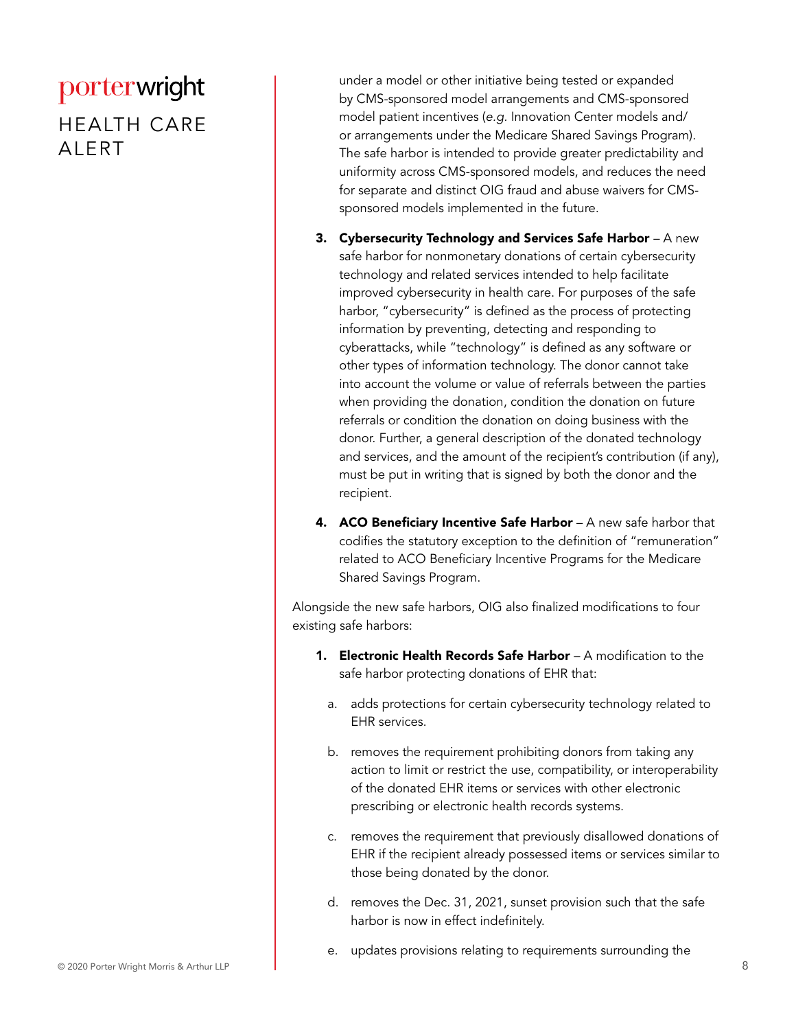#### HEALTH CARE ALERT

under a model or other initiative being tested or expanded by CMS-sponsored model arrangements and CMS-sponsored model patient incentives (*e.g.* Innovation Center models and/ or arrangements under the Medicare Shared Savings Program). The safe harbor is intended to provide greater predictability and uniformity across CMS-sponsored models, and reduces the need for separate and distinct OIG fraud and abuse waivers for CMSsponsored models implemented in the future.

- 3. Cybersecurity Technology and Services Safe Harbor  $-A$  new safe harbor for nonmonetary donations of certain cybersecurity technology and related services intended to help facilitate improved cybersecurity in health care. For purposes of the safe harbor, "cybersecurity" is defined as the process of protecting information by preventing, detecting and responding to cyberattacks, while "technology" is defined as any software or other types of information technology. The donor cannot take into account the volume or value of referrals between the parties when providing the donation, condition the donation on future referrals or condition the donation on doing business with the donor. Further, a general description of the donated technology and services, and the amount of the recipient's contribution (if any), must be put in writing that is signed by both the donor and the recipient.
- 4. ACO Beneficiary Incentive Safe Harbor A new safe harbor that codifies the statutory exception to the definition of "remuneration" related to ACO Beneficiary Incentive Programs for the Medicare Shared Savings Program.

Alongside the new safe harbors, OIG also finalized modifications to four existing safe harbors:

- **1. Electronic Health Records Safe Harbor** A modification to the safe harbor protecting donations of EHR that:
	- a. adds protections for certain cybersecurity technology related to EHR services.
	- b. removes the requirement prohibiting donors from taking any action to limit or restrict the use, compatibility, or interoperability of the donated EHR items or services with other electronic prescribing or electronic health records systems.
	- c. removes the requirement that previously disallowed donations of EHR if the recipient already possessed items or services similar to those being donated by the donor.
	- d. removes the Dec. 31, 2021, sunset provision such that the safe harbor is now in effect indefinitely.
	- e. updates provisions relating to requirements surrounding the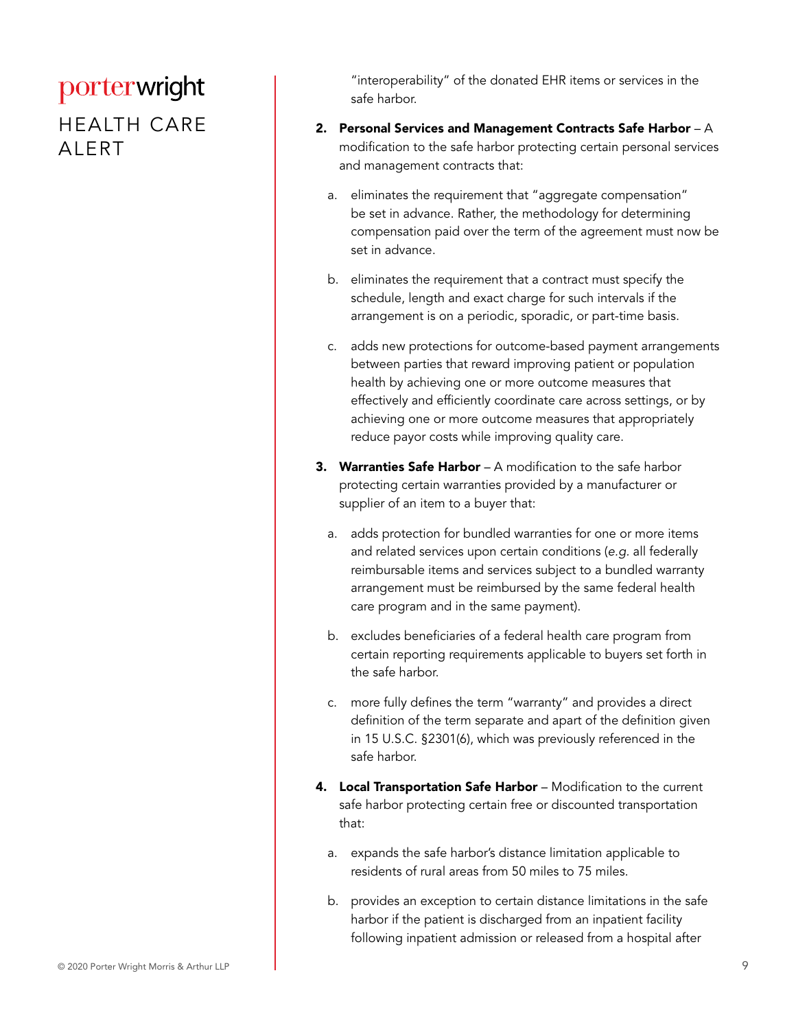#### HEALTH CARE ALERT

"interoperability" of the donated EHR items or services in the safe harbor.

- 2. Personal Services and Management Contracts Safe Harbor A modification to the safe harbor protecting certain personal services and management contracts that:
	- a. eliminates the requirement that "aggregate compensation" be set in advance. Rather, the methodology for determining compensation paid over the term of the agreement must now be set in advance.
	- b. eliminates the requirement that a contract must specify the schedule, length and exact charge for such intervals if the arrangement is on a periodic, sporadic, or part-time basis.
	- c. adds new protections for outcome-based payment arrangements between parties that reward improving patient or population health by achieving one or more outcome measures that effectively and efficiently coordinate care across settings, or by achieving one or more outcome measures that appropriately reduce payor costs while improving quality care.
- **3. Warranties Safe Harbor** A modification to the safe harbor protecting certain warranties provided by a manufacturer or supplier of an item to a buyer that:
	- a. adds protection for bundled warranties for one or more items and related services upon certain conditions (*e.g.* all federally reimbursable items and services subject to a bundled warranty arrangement must be reimbursed by the same federal health care program and in the same payment).
	- b. excludes beneficiaries of a federal health care program from certain reporting requirements applicable to buyers set forth in the safe harbor.
	- c. more fully defines the term "warranty" and provides a direct definition of the term separate and apart of the definition given in 15 U.S.C. §2301(6), which was previously referenced in the safe harbor.
- 4. Local Transportation Safe Harbor Modification to the current safe harbor protecting certain free or discounted transportation that:
	- a. expands the safe harbor's distance limitation applicable to residents of rural areas from 50 miles to 75 miles.
	- b. provides an exception to certain distance limitations in the safe harbor if the patient is discharged from an inpatient facility following inpatient admission or released from a hospital after